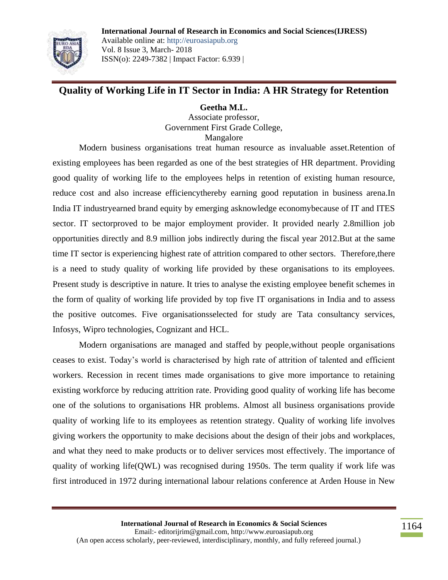

**Quality of Working Life in IT Sector in India: A HR Strategy for Retention**

# **Geetha M.L.**

Associate professor, Government First Grade College, Mangalore

Modern business organisations treat human resource as invaluable asset.Retention of existing employees has been regarded as one of the best strategies of HR department. Providing good quality of working life to the employees helps in retention of existing human resource, reduce cost and also increase efficiencythereby earning good reputation in business arena.In India IT industryearned brand equity by emerging asknowledge economybecause of IT and ITES sector. IT sectorproved to be major employment provider. It provided nearly 2.8million job opportunities directly and 8.9 million jobs indirectly during the fiscal year 2012.But at the same time IT sector is experiencing highest rate of attrition compared to other sectors. Therefore,there is a need to study quality of working life provided by these organisations to its employees. Present study is descriptive in nature. It tries to analyse the existing employee benefit schemes in the form of quality of working life provided by top five IT organisations in India and to assess the positive outcomes. Five organisationsselected for study are Tata consultancy services, Infosys, Wipro technologies, Cognizant and HCL.

Modern organisations are managed and staffed by people,without people organisations ceases to exist. Today"s world is characterised by high rate of attrition of talented and efficient workers. Recession in recent times made organisations to give more importance to retaining existing workforce by reducing attrition rate. Providing good quality of working life has become one of the solutions to organisations HR problems. Almost all business organisations provide quality of working life to its employees as retention strategy. Quality of working life involves giving workers the opportunity to make decisions about the design of their jobs and workplaces, and what they need to make products or to deliver services most effectively. The importance of quality of working life(QWL) was recognised during 1950s. The term quality if work life was first introduced in 1972 during international labour relations conference at Arden House in New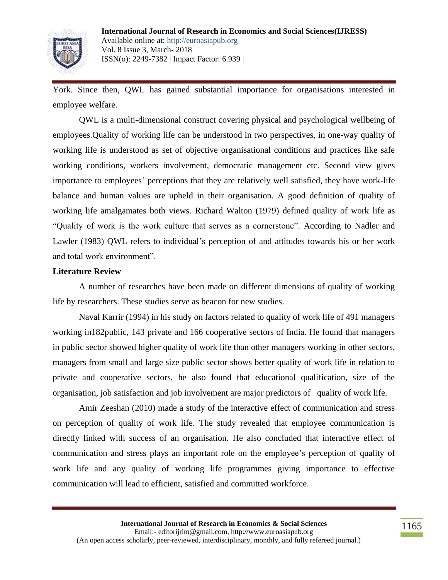

York. Since then, QWL has gained substantial importance for organisations interested in employee welfare.

QWL is a multi-dimensional construct covering physical and psychological wellbeing of employees.Quality of working life can be understood in two perspectives, in one-way quality of working life is understood as set of objective organisational conditions and practices like safe working conditions, workers involvement, democratic management etc. Second view gives importance to employees' perceptions that they are relatively well satisfied, they have work-life balance and human values are upheld in their organisation. A good definition of quality of working life amalgamates both views. Richard Walton (1979) defined quality of work life as "Quality of work is the work culture that serves as a cornerstone". According to Nadler and Lawler (1983) QWL refers to individual's perception of and attitudes towards his or her work and total work environment".

#### **Literature Review**

A number of researches have been made on different dimensions of quality of working life by researchers. These studies serve as beacon for new studies.

Naval Karrir (1994) in his study on factors related to quality of work life of 491 managers working in182public, 143 private and 166 cooperative sectors of India. He found that managers in public sector showed higher quality of work life than other managers working in other sectors, managers from small and large size public sector shows better quality of work life in relation to private and cooperative sectors, he also found that educational qualification, size of the organisation, job satisfaction and job involvement are major predictors of quality of work life.

Amir Zeeshan (2010) made a study of the interactive effect of communication and stress on perception of quality of work life. The study revealed that employee communication is directly linked with success of an organisation. He also concluded that interactive effect of communication and stress plays an important role on the employee"s perception of quality of work life and any quality of working life programmes giving importance to effective communication will lead to efficient, satisfied and committed workforce.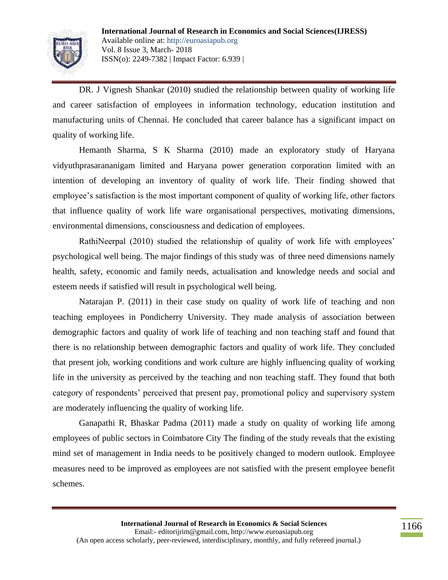

DR. J Vignesh Shankar (2010) studied the relationship between quality of working life and career satisfaction of employees in information technology, education institution and manufacturing units of Chennai. He concluded that career balance has a significant impact on quality of working life.

Hemanth Sharma, S K Sharma (2010) made an exploratory study of Haryana vidyuthprasarananigam limited and Haryana power generation corporation limited with an intention of developing an inventory of quality of work life. Their finding showed that employee's satisfaction is the most important component of quality of working life, other factors that influence quality of work life ware organisational perspectives, motivating dimensions, environmental dimensions, consciousness and dedication of employees.

RathiNeerpal (2010) studied the relationship of quality of work life with employees' psychological well being. The major findings of this study was of three need dimensions namely health, safety, economic and family needs, actualisation and knowledge needs and social and esteem needs if satisfied will result in psychological well being.

Natarajan P. (2011) in their case study on quality of work life of teaching and non teaching employees in Pondicherry University. They made analysis of association between demographic factors and quality of work life of teaching and non teaching staff and found that there is no relationship between demographic factors and quality of work life. They concluded that present job, working conditions and work culture are highly influencing quality of working life in the university as perceived by the teaching and non teaching staff. They found that both category of respondents" perceived that present pay, promotional policy and supervisory system are moderately influencing the quality of working life.

Ganapathi R, Bhaskar Padma (2011) made a study on quality of working life among employees of public sectors in Coimbatore City The finding of the study reveals that the existing mind set of management in India needs to be positively changed to modern outlook. Employee measures need to be improved as employees are not satisfied with the present employee benefit schemes.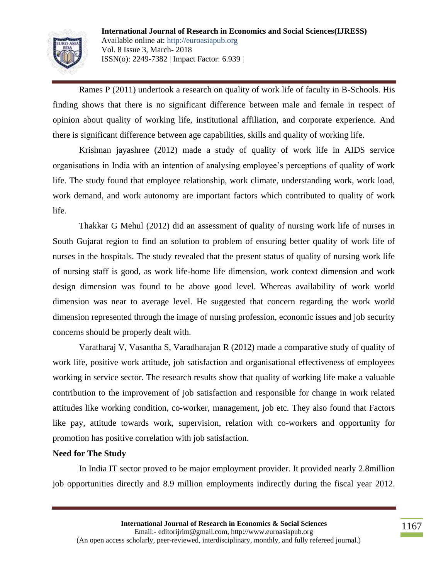

Rames P (2011) undertook a research on quality of work life of faculty in B-Schools. His finding shows that there is no significant difference between male and female in respect of opinion about quality of working life, institutional affiliation, and corporate experience. And there is significant difference between age capabilities, skills and quality of working life.

Krishnan jayashree (2012) made a study of quality of work life in AIDS service organisations in India with an intention of analysing employee"s perceptions of quality of work life. The study found that employee relationship, work climate, understanding work, work load, work demand, and work autonomy are important factors which contributed to quality of work life.

Thakkar G Mehul (2012) did an assessment of quality of nursing work life of nurses in South Gujarat region to find an solution to problem of ensuring better quality of work life of nurses in the hospitals. The study revealed that the present status of quality of nursing work life of nursing staff is good, as work life-home life dimension, work context dimension and work design dimension was found to be above good level. Whereas availability of work world dimension was near to average level. He suggested that concern regarding the work world dimension represented through the image of nursing profession, economic issues and job security concerns should be properly dealt with.

Varatharaj V, Vasantha S, Varadharajan R (2012) made a comparative study of quality of work life, positive work attitude, job satisfaction and organisational effectiveness of employees working in service sector. The research results show that quality of working life make a valuable contribution to the improvement of job satisfaction and responsible for change in work related attitudes like working condition, co-worker, management, job etc. They also found that Factors like pay, attitude towards work, supervision, relation with co-workers and opportunity for promotion has positive correlation with job satisfaction.

### **Need for The Study**

In India IT sector proved to be major employment provider. It provided nearly 2.8million job opportunities directly and 8.9 million employments indirectly during the fiscal year 2012.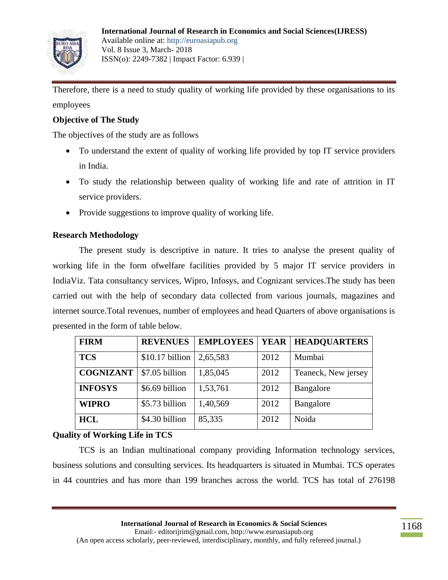

Therefore, there is a need to study quality of working life provided by these organisations to its employees

## **Objective of The Study**

The objectives of the study are as follows

- To understand the extent of quality of working life provided by top IT service providers in India.
- To study the relationship between quality of working life and rate of attrition in IT service providers.
- Provide suggestions to improve quality of working life.

## **Research Methodology**

The present study is descriptive in nature. It tries to analyse the present quality of working life in the form ofwelfare facilities provided by 5 major IT service providers in IndiaViz. Tata consultancy services, Wipro, Infosys, and Cognizant services.The study has been carried out with the help of secondary data collected from various journals, magazines and internet source.Total revenues, number of employees and head Quarters of above organisations is presented in the form of table below.

| <b>FIRM</b>      | <b>REVENUES</b>  | <b>EMPLOYEES</b> | <b>YEAR</b> | <b>HEADQUARTERS</b> |
|------------------|------------------|------------------|-------------|---------------------|
| <b>TCS</b>       | $$10.17$ billion | 2,65,583         | 2012        | Mumbai              |
| <b>COGNIZANT</b> | \$7.05 billion   | 1,85,045         | 2012        | Teaneck, New jersey |
| <b>INFOSYS</b>   | \$6.69 billion   | 1,53,761         | 2012        | Bangalore           |
| <b>WIPRO</b>     | \$5.73 billion   | 1,40,569         | 2012        | Bangalore           |
| <b>HCL</b>       | \$4.30 billion   | 85,335           | 2012        | Noida               |

## **Quality of Working Life in TCS**

TCS is an Indian multinational company providing Information technology services, business solutions and consulting services. Its headquarters is situated in Mumbai. TCS operates in 44 countries and has more than 199 branches across the world. TCS has total of 276198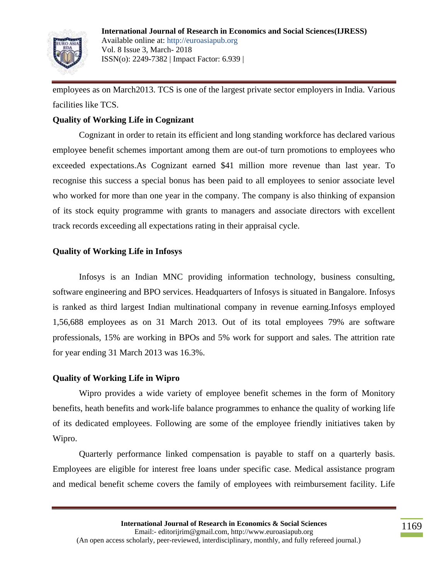

employees as on March2013. TCS is one of the largest private sector employers in India. Various facilities like TCS.

## **Quality of Working Life in Cognizant**

Cognizant in order to retain its efficient and long standing workforce has declared various employee benefit schemes important among them are out-of turn promotions to employees who exceeded expectations.As Cognizant earned \$41 million more revenue than last year. To recognise this success a special bonus has been paid to all employees to senior associate level who worked for more than one year in the company. The company is also thinking of expansion of its stock equity programme with grants to managers and associate directors with excellent track records exceeding all expectations rating in their appraisal cycle.

### **Quality of Working Life in Infosys**

Infosys is an Indian MNC providing information technology, business consulting, software engineering and BPO services. Headquarters of Infosys is situated in Bangalore. Infosys is ranked as third largest Indian multinational company in revenue earning.Infosys employed 1,56,688 employees as on 31 March 2013. Out of its total employees 79% are software professionals, 15% are working in BPOs and 5% work for support and sales. The attrition rate for year ending 31 March 2013 was 16.3%.

### **Quality of Working Life in Wipro**

Wipro provides a wide variety of employee benefit schemes in the form of Monitory benefits, heath benefits and work-life balance programmes to enhance the quality of working life of its dedicated employees. Following are some of the employee friendly initiatives taken by Wipro.

Quarterly performance linked compensation is payable to staff on a quarterly basis. Employees are eligible for interest free loans under specific case. Medical assistance program and medical benefit scheme covers the family of employees with reimbursement facility. Life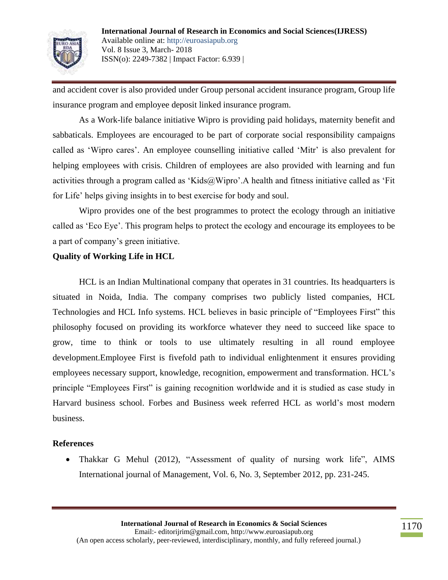

and accident cover is also provided under Group personal accident insurance program, Group life insurance program and employee deposit linked insurance program.

As a Work-life balance initiative Wipro is providing paid holidays, maternity benefit and sabbaticals. Employees are encouraged to be part of corporate social responsibility campaigns called as 'Wipro cares'. An employee counselling initiative called 'Mitr' is also prevalent for helping employees with crisis. Children of employees are also provided with learning and fun activities through a program called as 'Kids@Wipro'.A health and fitness initiative called as 'Fit for Life" helps giving insights in to best exercise for body and soul.

Wipro provides one of the best programmes to protect the ecology through an initiative called as "Eco Eye". This program helps to protect the ecology and encourage its employees to be a part of company"s green initiative.

## **Quality of Working Life in HCL**

HCL is an Indian Multinational company that operates in 31 countries. Its headquarters is situated in Noida, India. The company comprises two publicly listed companies, HCL Technologies and HCL Info systems. HCL believes in basic principle of "Employees First" this philosophy focused on providing its workforce whatever they need to succeed like space to grow, time to think or tools to use ultimately resulting in all round employee development.Employee First is fivefold path to individual enlightenment it ensures providing employees necessary support, knowledge, recognition, empowerment and transformation. HCL"s principle "Employees First" is gaining recognition worldwide and it is studied as case study in Harvard business school. Forbes and Business week referred HCL as world"s most modern business.

### **References**

• Thakkar G Mehul (2012), "Assessment of quality of nursing work life", AIMS International journal of Management, Vol. 6, No. 3, September 2012, pp. 231-245.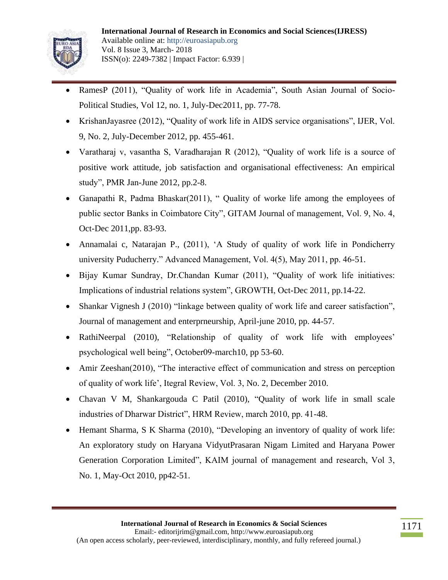

- RamesP (2011), "Quality of work life in Academia", South Asian Journal of Socio-Political Studies, Vol 12, no. 1, July-Dec2011, pp. 77-78.
- KrishanJayasree (2012), "Quality of work life in AIDS service organisations", IJER, Vol. 9, No. 2, July-December 2012, pp. 455-461.
- Varatharaj v, vasantha S, Varadharajan R (2012), "Quality of work life is a source of positive work attitude, job satisfaction and organisational effectiveness: An empirical study", PMR Jan-June 2012, pp.2-8.
- Ganapathi R, Padma Bhaskar(2011), " Quality of worke life among the employees of public sector Banks in Coimbatore City", GITAM Journal of management, Vol. 9, No. 4, Oct-Dec 2011,pp. 83-93.
- Annamalai c, Natarajan P., (2011), "A Study of quality of work life in Pondicherry university Puducherry." Advanced Management, Vol. 4(5), May 2011, pp. 46-51.
- Bijay Kumar Sundray, Dr.Chandan Kumar (2011), "Quality of work life initiatives: Implications of industrial relations system", GROWTH, Oct-Dec 2011, pp.14-22.
- Shankar Vignesh J (2010) "linkage between quality of work life and career satisfaction", Journal of management and enterprneurship, April-june 2010, pp. 44-57.
- RathiNeerpal (2010), "Relationship of quality of work life with employees" psychological well being", October09-march10, pp 53-60.
- Amir Zeeshan(2010), "The interactive effect of communication and stress on perception of quality of work life", Itegral Review, Vol. 3, No. 2, December 2010.
- Chavan V M, Shankargouda C Patil (2010), "Quality of work life in small scale industries of Dharwar District", HRM Review, march 2010, pp. 41-48.
- Hemant Sharma, S K Sharma (2010), "Developing an inventory of quality of work life: An exploratory study on Haryana VidyutPrasaran Nigam Limited and Haryana Power Generation Corporation Limited", KAIM journal of management and research, Vol 3, No. 1, May-Oct 2010, pp42-51.